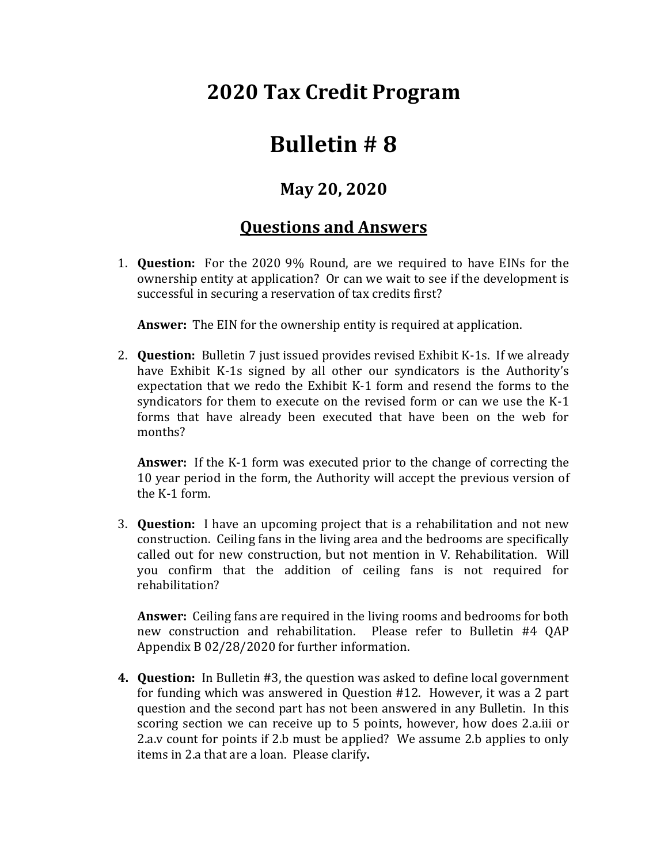## **2020 Tax Credit Program**

## **Bulletin # 8**

## **May 20, 2020**

## **Questions and Answers**

1. **Question:** For the 2020 9% Round, are we required to have EINs for the ownership entity at application? Or can we wait to see if the development is successful in securing a reservation of tax credits first?

**Answer:** The EIN for the ownership entity is required at application.

2. **Question:** Bulletin 7 just issued provides revised Exhibit K-1s. If we already have Exhibit K-1s signed by all other our syndicators is the Authority's expectation that we redo the Exhibit K-1 form and resend the forms to the syndicators for them to execute on the revised form or can we use the K-1 forms that have already been executed that have been on the web for months?

**Answer:** If the K-1 form was executed prior to the change of correcting the 10 year period in the form, the Authority will accept the previous version of the K-1 form.

3. **Question:** I have an upcoming project that is a rehabilitation and not new construction. Ceiling fans in the living area and the bedrooms are specifically called out for new construction, but not mention in V. Rehabilitation. Will you confirm that the addition of ceiling fans is not required for rehabilitation?

**Answer:** Ceiling fans are required in the living rooms and bedrooms for both new construction and rehabilitation. Please refer to Bulletin #4 QAP Appendix B 02/28/2020 for further information.

**4. Question:** In Bulletin #3, the question was asked to define local government for funding which was answered in Question #12. However, it was a 2 part question and the second part has not been answered in any Bulletin. In this scoring section we can receive up to 5 points, however, how does 2.a.iii or 2.a.v count for points if 2.b must be applied? We assume 2.b applies to only items in 2.a that are a loan. Please clarify**.**